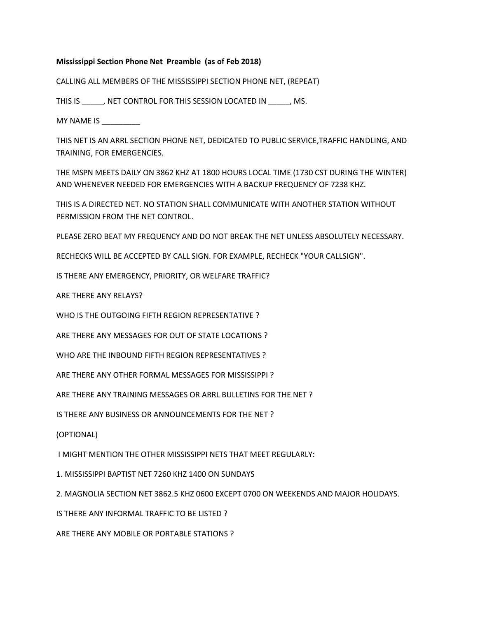## **Mississippi Section Phone Net Preamble (as of Feb 2018)**

CALLING ALL MEMBERS OF THE MISSISSIPPI SECTION PHONE NET, (REPEAT)

THIS IS \_\_\_\_\_, NET CONTROL FOR THIS SESSION LOCATED IN \_\_\_\_\_, MS.

MY NAME IS \_\_\_\_\_\_\_\_\_

THIS NET IS AN ARRL SECTION PHONE NET, DEDICATED TO PUBLIC SERVICE,TRAFFIC HANDLING, AND TRAINING, FOR EMERGENCIES.

THE MSPN MEETS DAILY ON 3862 KHZ AT 1800 HOURS LOCAL TIME (1730 CST DURING THE WINTER) AND WHENEVER NEEDED FOR EMERGENCIES WITH A BACKUP FREQUENCY OF 7238 KHZ.

THIS IS A DIRECTED NET. NO STATION SHALL COMMUNICATE WITH ANOTHER STATION WITHOUT PERMISSION FROM THE NET CONTROL.

PLEASE ZERO BEAT MY FREQUENCY AND DO NOT BREAK THE NET UNLESS ABSOLUTELY NECESSARY.

RECHECKS WILL BE ACCEPTED BY CALL SIGN. FOR EXAMPLE, RECHECK "YOUR CALLSIGN".

IS THERE ANY EMERGENCY, PRIORITY, OR WELFARE TRAFFIC?

ARE THERE ANY RELAYS?

WHO IS THE OUTGOING FIFTH REGION REPRESENTATIVE ?

ARE THERE ANY MESSAGES FOR OUT OF STATE LOCATIONS ?

WHO ARE THE INBOUND FIFTH REGION REPRESENTATIVES ?

ARE THERE ANY OTHER FORMAL MESSAGES FOR MISSISSIPPI ?

ARE THERE ANY TRAINING MESSAGES OR ARRL BULLETINS FOR THE NET ?

IS THERE ANY BUSINESS OR ANNOUNCEMENTS FOR THE NET ?

(OPTIONAL)

I MIGHT MENTION THE OTHER MISSISSIPPI NETS THAT MEET REGULARLY:

1. MISSISSIPPI BAPTIST NET 7260 KHZ 1400 ON SUNDAYS

2. MAGNOLIA SECTION NET 3862.5 KHZ 0600 EXCEPT 0700 ON WEEKENDS AND MAJOR HOLIDAYS.

IS THERE ANY INFORMAL TRAFFIC TO BE LISTED ?

ARE THERE ANY MOBILE OR PORTABLE STATIONS ?